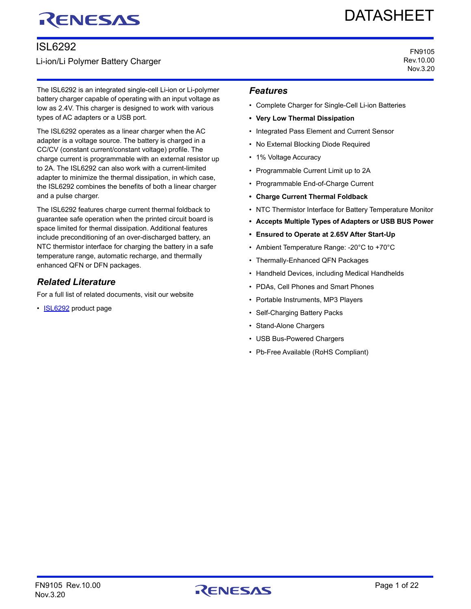# RENESAS

## ISL6292

## Li-ion/Li Polymer Battery Charger

The ISL6292 is an integrated single-cell Li-ion or Li-polymer battery charger capable of operating with an input voltage as low as 2.4V. This charger is designed to work with various types of AC adapters or a USB port.

The ISL6292 operates as a linear charger when the AC adapter is a voltage source. The battery is charged in a CC/CV (constant current/constant voltage) profile. The charge current is programmable with an external resistor up to 2A. The ISL6292 can also work with a current-limited adapter to minimize the thermal dissipation, in which case, the ISL6292 combines the benefits of both a linear charger and a pulse charger.

The ISL6292 features charge current thermal foldback to guarantee safe operation when the printed circuit board is space limited for thermal dissipation. Additional features include preconditioning of an over-discharged battery, an NTC thermistor interface for charging the battery in a safe temperature range, automatic recharge, and thermally enhanced QFN or DFN packages.

## *Related Literature*

For a full list of related documents, visit our website

• **[ISL6292](http://www.intersil.com/products/isl6292)** product page

# DATASHEET

FN9105 Rev.10.00 Nov.3.20

## *Features*

- Complete Charger for Single-Cell Li-ion Batteries
- **Very Low Thermal Dissipation**
- Integrated Pass Element and Current Sensor
- No External Blocking Diode Required
- 1% Voltage Accuracy
- Programmable Current Limit up to 2A
- Programmable End-of-Charge Current
- **Charge Current Thermal Foldback**
- NTC Thermistor Interface for Battery Temperature Monitor
- **Accepts Multiple Types of Adapters or USB BUS Power**
- **Ensured to Operate at 2.65V After Start-Up**
- Ambient Temperature Range: -20°C to +70°C
- Thermally-Enhanced QFN Packages
- Handheld Devices, including Medical Handhelds
- PDAs, Cell Phones and Smart Phones
- Portable Instruments, MP3 Players
- Self-Charging Battery Packs
- Stand-Alone Chargers
- USB Bus-Powered Chargers
- Pb-Free Available (RoHS Compliant)

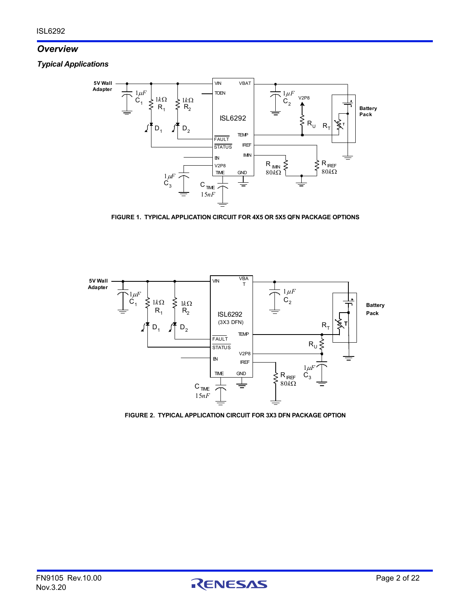## *Overview*

*Typical Applications*



**FIGURE 1. TYPICAL APPLICATION CIRCUIT FOR 4X5 OR 5X5 QFN PACKAGE OPTIONS**



**FIGURE 2. TYPICAL APPLICATION CIRCUIT FOR 3X3 DFN PACKAGE OPTION**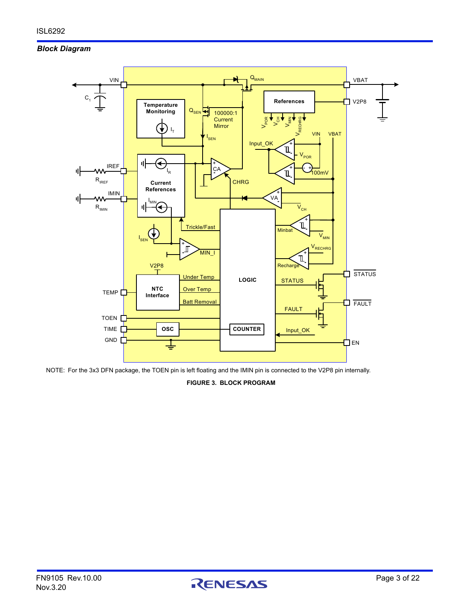## *Block Diagram*



<span id="page-2-0"></span>NOTE: For the 3x3 DFN package, the TOEN pin is left floating and the IMIN pin is connected to the V2P8 pin internally.

**FIGURE 3. BLOCK PROGRAM**

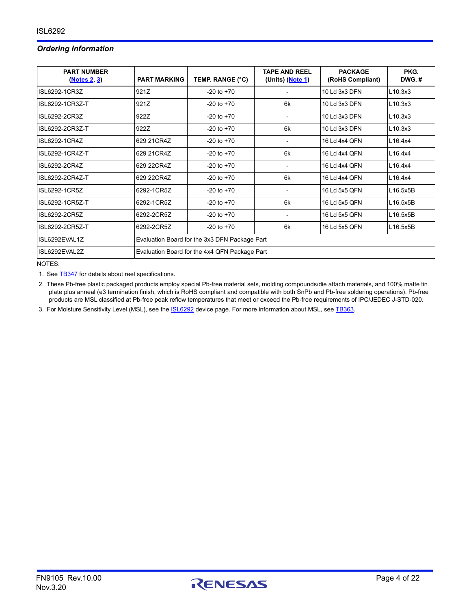## *Ordering Information*

| <b>PART NUMBER</b><br>(Notes 2, 3) | <b>PART MARKING</b>                           | TEMP. RANGE (°C)                              | <b>TAPE AND REEL</b><br>(Units) (Note 1) | <b>PACKAGE</b><br>(RoHS Compliant) | PKG.<br>$DWG.$ # |
|------------------------------------|-----------------------------------------------|-----------------------------------------------|------------------------------------------|------------------------------------|------------------|
| ISL6292-1CR3Z                      | 921Z                                          | $-20$ to $+70$                                |                                          | 10 Ld 3x3 DFN                      | L10.3x3          |
| ISL6292-1CR3Z-T                    | 921Z                                          | $-20$ to $+70$                                | 6k                                       | 10 Ld 3x3 DFN                      | L10.3x3          |
| ISL6292-2CR3Z                      | 922Z                                          | $-20$ to $+70$                                |                                          | 10 Ld 3x3 DFN                      | L10.3x3          |
| ISL6292-2CR3Z-T                    | 922Z                                          | $-20$ to $+70$                                | 6k                                       | 10 Ld 3x3 DFN                      | L10.3x3          |
| ISL6292-1CR4Z                      | 629 21 CR4Z                                   | $-20$ to $+70$                                |                                          | 16 Ld 4x4 QFN                      | L16.4x4          |
| ISL6292-1CR4Z-T                    | 629 21 CR4Z                                   | $-20$ to $+70$                                | 6k                                       | 16 Ld 4x4 QFN                      | L16.4x4          |
| ISL6292-2CR4Z                      | 629 22CR4Z                                    | $-20$ to $+70$                                | $\overline{\phantom{a}}$                 | 16 Ld 4x4 QFN                      | L16.4x4          |
| ISL6292-2CR4Z-T                    | 629 22CR4Z                                    | $-20$ to $+70$                                | 6k                                       | 16 Ld 4x4 QFN                      | L16.4x4          |
| ISL6292-1CR5Z                      | 6292-1CR5Z                                    | $-20$ to $+70$                                |                                          | 16 Ld 5x5 QFN                      | L16.5x5B         |
| ISL6292-1CR5Z-T                    | 6292-1CR5Z                                    | $-20$ to $+70$                                | 6k                                       | 16 Ld 5x5 QFN                      | L16.5x5B         |
| ISL6292-2CR5Z                      | 6292-2CR5Z                                    | $-20$ to $+70$                                |                                          | 16 Ld 5x5 QFN                      | L16.5x5B         |
| ISL6292-2CR5Z-T                    | 6292-2CR5Z                                    | $-20$ to $+70$                                | 6k                                       | 16 Ld 5x5 QFN                      | L16.5x5B         |
| ISL6292EVAL1Z                      |                                               | Evaluation Board for the 3x3 DFN Package Part |                                          |                                    |                  |
| ISL6292EVAL2Z                      | Evaluation Board for the 4x4 QFN Package Part |                                               |                                          |                                    |                  |

NOTES:

<span id="page-3-2"></span>1. See **TB347** for details about reel specifications.

<span id="page-3-0"></span>2. These Pb-free plastic packaged products employ special Pb-free material sets, molding compounds/die attach materials, and 100% matte tin plate plus anneal (e3 termination finish, which is RoHS compliant and compatible with both SnPb and Pb-free soldering operations). Pb-free products are MSL classified at Pb-free peak reflow temperatures that meet or exceed the Pb-free requirements of IPC/JEDEC J-STD-020.

<span id="page-3-1"></span>3. For Moisture Sensitivity Level (MSL), see the **ISL6292** device page. For more information about MSL, see [TB363](https://www.renesas.com/doc/tech-brief/tb363.pdf).

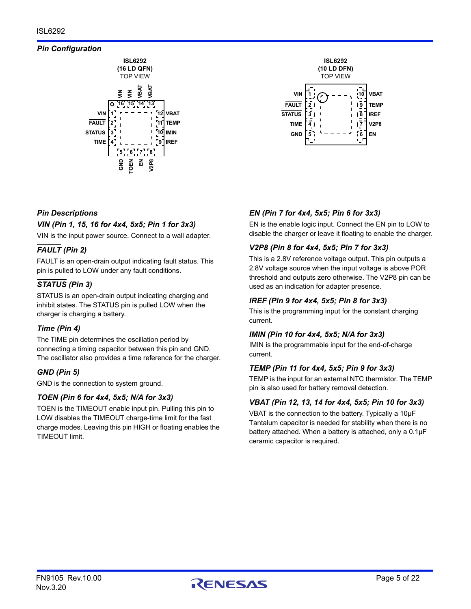## *Pin Configuration*





## *Pin Descriptions*

## *VIN (Pin 1, 15, 16 for 4x4, 5x5; Pin 1 for 3x3)*

VIN is the input power source. Connect to a wall adapter.

## *FAULT (Pin 2)*

FAULT is an open-drain output indicating fault status. This pin is pulled to LOW under any fault conditions.

## *STATUS (Pin 3)*

STATUS is an open-drain output indicating charging and inhibit states. The STATUS pin is pulled LOW when the charger is charging a battery.

## *Time (Pin 4)*

The TIME pin determines the oscillation period by connecting a timing capacitor between this pin and GND. The oscillator also provides a time reference for the charger.

## *GND (Pin 5)*

GND is the connection to system ground.

## *TOEN (Pin 6 for 4x4, 5x5; N/A for 3x3)*

TOEN is the TIMEOUT enable input pin. Pulling this pin to LOW disables the TIMEOUT charge-time limit for the fast charge modes. Leaving this pin HIGH or floating enables the TIMEOUT limit.

## *EN (Pin 7 for 4x4, 5x5; Pin 6 for 3x3)*

EN is the enable logic input. Connect the EN pin to LOW to disable the charger or leave it floating to enable the charger.

## *V2P8 (Pin 8 for 4x4, 5x5; Pin 7 for 3x3)*

This is a 2.8V reference voltage output. This pin outputs a 2.8V voltage source when the input voltage is above POR threshold and outputs zero otherwise. The V2P8 pin can be used as an indication for adapter presence.

## *IREF (Pin 9 for 4x4, 5x5; Pin 8 for 3x3)*

This is the programming input for the constant charging current.

## *IMIN (Pin 10 for 4x4, 5x5; N/A for 3x3)*

IMIN is the programmable input for the end-of-charge current.

## *TEMP (Pin 11 for 4x4, 5x5; Pin 9 for 3x3)*

TEMP is the input for an external NTC thermistor. The TEMP pin is also used for battery removal detection.

## *VBAT (Pin 12, 13, 14 for 4x4, 5x5; Pin 10 for 3x3)*

VBAT is the connection to the battery. Typically a 10µF Tantalum capacitor is needed for stability when there is no battery attached. When a battery is attached, only a 0.1µF ceramic capacitor is required.

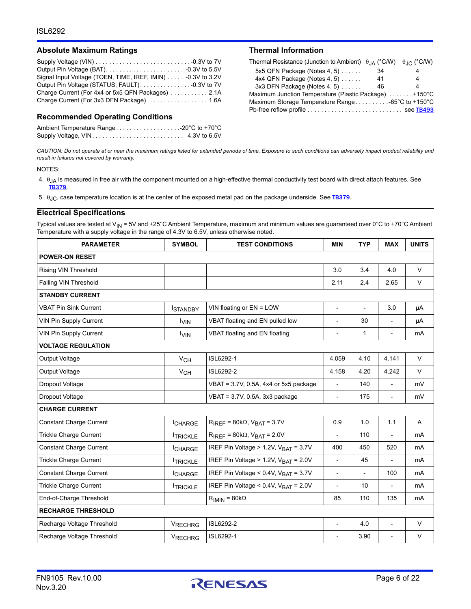### Absolute Maximum Ratings **Thermal Information**

| Signal Input Voltage (TOEN, TIME, IREF, IMIN) -0.3V to 3.2V |  |
|-------------------------------------------------------------|--|
|                                                             |  |
| Charge Current (For 4x4 or 5x5 QFN Packages)  2.1A          |  |
| Charge Current (For 3x3 DFN Package)  1.6A                  |  |

### **Recommended Operating Conditions**

Ambient Temperature Range. . . . . . . . . . . . . . . . . . .-20°C to +70°C Supply Voltage, VIN. . . . . . . . . . . . . . . . . . . . . . . . . . . 4.3V to 6.5V

| Thermal Resistance (Junction to Ambient) $\theta_{IA}$ (°C/W) $\theta_{IC}$ (°C/W) |    |   |
|------------------------------------------------------------------------------------|----|---|
| 5x5 QFN Package (Notes 4, 5) $\ldots$ .                                            | 34 |   |
| 4x4 QFN Package (Notes 4, 5)                                                       | 41 | 4 |
| 3x3 DFN Package (Notes 4, 5)                                                       | 46 |   |
| Maximum Junction Temperature (Plastic Package) +150°C                              |    |   |
| Maximum Storage Temperature Range-65°C to +150°C                                   |    |   |
|                                                                                    |    |   |

*CAUTION: Do not operate at or near the maximum ratings listed for extended periods of time. Exposure to such conditions can adversely impact product reliability and result in failures not covered by warranty.*

#### NOTES:

<span id="page-5-0"></span>4.  $\theta_{JA}$  is measured in free air with the component mounted on a high-effective thermal conductivity test board with direct attach features. See [TB379](https://www.renesas.com/doc/tech-brief/tb379.pdf).

<span id="page-5-1"></span>5.  $\theta$ <sub>JC</sub>, case temperature location is at the center of the exposed metal pad on the package underside. See **[TB379](https://www.renesas.com/doc/tech-brief/tb379.pdf)**.

### <span id="page-5-2"></span>**Electrical Specifications**

Typical values are tested at V<sub>IN</sub> = 5V and +25°C Ambient Temperature, maximum and minimum values are guaranteed over 0°C to +70°C Ambient Temperature with a supply voltage in the range of 4.3V to 6.5V, unless otherwise noted.

| <b>PARAMETER</b>               | <b>SYMBOL</b>   | <b>TEST CONDITIONS</b>                           | <b>MIN</b>               | <b>TYP</b>               | <b>MAX</b>               | <b>UNITS</b> |
|--------------------------------|-----------------|--------------------------------------------------|--------------------------|--------------------------|--------------------------|--------------|
| <b>POWER-ON RESET</b>          |                 |                                                  |                          |                          |                          |              |
| Rising VIN Threshold           |                 |                                                  | 3.0                      | 3.4                      | 4.0                      | V            |
| Falling VIN Threshold          |                 |                                                  | 2.11                     | 2.4                      | 2.65                     | $\vee$       |
| <b>STANDBY CURRENT</b>         |                 |                                                  |                          |                          |                          |              |
| <b>VBAT Pin Sink Current</b>   | <b>ISTANDBY</b> | VIN floating or EN = LOW                         | $\overline{\phantom{a}}$ | $\overline{\phantom{a}}$ | 3.0                      | μA           |
| <b>VIN Pin Supply Current</b>  | <b>VIN</b>      | VBAT floating and EN pulled low                  | $\overline{\phantom{a}}$ | 30                       | $\overline{\phantom{a}}$ | μA           |
| <b>VIN Pin Supply Current</b>  | <b>VIN</b>      | VBAT floating and EN floating                    | ÷,                       | 1                        | $\overline{\phantom{a}}$ | mA           |
| <b>VOLTAGE REGULATION</b>      |                 |                                                  |                          |                          |                          |              |
| Output Voltage                 | V <sub>CH</sub> | ISL6292-1                                        | 4.059                    | 4.10                     | 4.141                    | $\vee$       |
| Output Voltage                 | V <sub>CH</sub> | ISL6292-2                                        | 4.158                    | 4.20                     | 4.242                    | $\vee$       |
| Dropout Voltage                |                 | VBAT = 3.7V, 0.5A, 4x4 or 5x5 package            | $\overline{\phantom{a}}$ | 140                      | $\blacksquare$           | mV           |
| Dropout Voltage                |                 | $VBAT = 3.7V, 0.5A, 3x3$ package                 | $\overline{\phantom{a}}$ | 175                      | $\overline{\phantom{a}}$ | mV           |
| <b>CHARGE CURRENT</b>          |                 |                                                  |                          |                          |                          |              |
| <b>Constant Charge Current</b> | <b>CHARGE</b>   | $R_{IREF}$ = 80k $\Omega$ , $V_{BAT}$ = 3.7V     | 0.9                      | 1.0                      | 1.1                      | A            |
| <b>Trickle Charge Current</b>  | <b>TRICKLE</b>  | $R_{IREF}$ = 80k $\Omega$ , $V_{BAT}$ = 2.0V     | $\overline{\phantom{a}}$ | 110                      | $\overline{\phantom{a}}$ | mA           |
| <b>Constant Charge Current</b> | <b>ICHARGE</b>  | IREF Pin Voltage > 1.2V, V <sub>BAT</sub> = 3.7V | 400                      | 450                      | 520                      | mA           |
| <b>Trickle Charge Current</b>  | <b>TRICKLE</b>  | IREF Pin Voltage > 1.2V, $V_{\text{BAT}} = 2.0V$ | $\overline{\phantom{a}}$ | 45                       | $\overline{\phantom{a}}$ | mA           |
| <b>Constant Charge Current</b> | <b>CHARGE</b>   | IREF Pin Voltage < $0.4V$ , $VBAT = 3.7V$        | $\overline{\phantom{a}}$ | $\overline{a}$           | 100                      | mA           |
| Trickle Charge Current         | <b>TRICKLE</b>  | IREF Pin Voltage < $0.4V$ , $VBAT = 2.0V$        | $\overline{\phantom{a}}$ | 10                       |                          | mA           |
| End-of-Charge Threshold        |                 | $R_{IMIN} = 80k\Omega$                           | 85                       | 110                      | 135                      | mA           |
| <b>RECHARGE THRESHOLD</b>      |                 |                                                  |                          |                          |                          |              |
| Recharge Voltage Threshold     | <b>VRECHRG</b>  | ISL6292-2                                        | $\overline{\phantom{a}}$ | 4.0                      | $\overline{\phantom{a}}$ | $\vee$       |
| Recharge Voltage Threshold     | VRECHRG         | ISL6292-1                                        |                          | 3.90                     |                          | $\vee$       |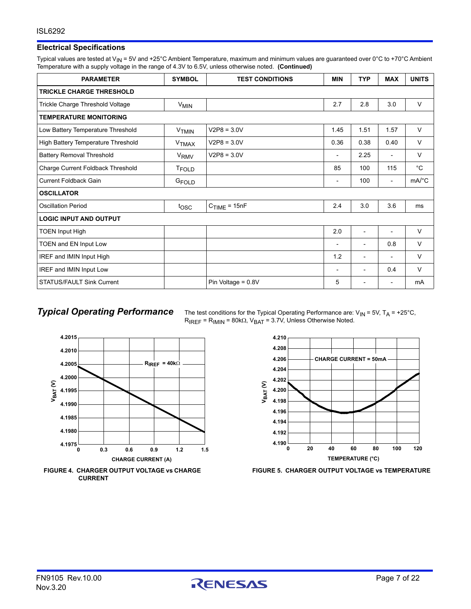## **Electrical Specifications**

Typical values are tested at V<sub>IN</sub> = 5V and +25°C Ambient Temperature, maximum and minimum values are guaranteed over 0°C to +70°C Ambient Temperature with a supply voltage in the range of 4.3V to 6.5V, unless otherwise noted. **(Continued)**

| <b>PARAMETER</b>                   | <b>SYMBOL</b>     | <b>TEST CONDITIONS</b> | <b>MIN</b>                   | <b>TYP</b>     | <b>MAX</b>               | <b>UNITS</b>          |
|------------------------------------|-------------------|------------------------|------------------------------|----------------|--------------------------|-----------------------|
| <b>TRICKLE CHARGE THRESHOLD</b>    |                   |                        |                              |                |                          |                       |
| Trickle Charge Threshold Voltage   | $V_{MIN}$         |                        | 2.7                          | 2.8            | 3.0                      | $\vee$                |
| <b>TEMPERATURE MONITORING</b>      |                   |                        |                              |                |                          |                       |
| Low Battery Temperature Threshold  | V <sub>TMIN</sub> | $V2P8 = 3.0V$          | 1.45                         | 1.51           | 1.57                     | $\vee$                |
| High Battery Temperature Threshold | V <sub>TMAX</sub> | $V2P8 = 3.0V$          | 0.36                         | 0.38           | 0.40                     | $\vee$                |
| <b>Battery Removal Threshold</b>   | V <sub>RMV</sub>  | $V2P8 = 3.0V$          | $\overline{\phantom{0}}$     | 2.25           | ٠                        | $\vee$                |
| Charge Current Foldback Threshold  | <b>TFOLD</b>      |                        | 85                           | 100            | 115                      | $^{\circ}C$           |
| <b>Current Foldback Gain</b>       | G <sub>FOLD</sub> |                        | $\qquad \qquad \blacksquare$ | 100            | $\overline{\phantom{a}}$ | $mA$ <sup>o</sup> $C$ |
| <b>OSCILLATOR</b>                  |                   |                        |                              |                |                          |                       |
| <b>Oscillation Period</b>          | tosc              | $C_{TIME} = 15nF$      | 2.4                          | 3.0            | 3.6                      | ms                    |
| <b>LOGIC INPUT AND OUTPUT</b>      |                   |                        |                              |                |                          |                       |
| <b>TOEN Input High</b>             |                   |                        | 2.0                          |                |                          | $\vee$                |
| TOEN and EN Input Low              |                   |                        | $\overline{\phantom{0}}$     | ٠              | 0.8                      | V                     |
| IREF and IMIN Input High           |                   |                        | 1.2                          | ٠              | -                        | V                     |
| IREF and IMIN Input Low            |                   |                        | $\overline{\phantom{0}}$     |                | 0.4                      | $\vee$                |
| <b>STATUS/FAULT Sink Current</b>   |                   | Pin Voltage = 0.8V     | 5                            | $\blacksquare$ | $\overline{\phantom{0}}$ | mA                    |

**Typical Operating Performance** The test conditions for the Typical Operating Performance are: V<sub>IN</sub> = 5V, T<sub>A</sub> = +25°C,  $R_{IREF}$  =  $R_{IMIN}$  = 80k $\Omega$ ,  $V_{BAT}$  = 3.7V, Unless Otherwise Noted.







**FIGURE 5. CHARGER OUTPUT VOLTAGE vs TEMPERATURE**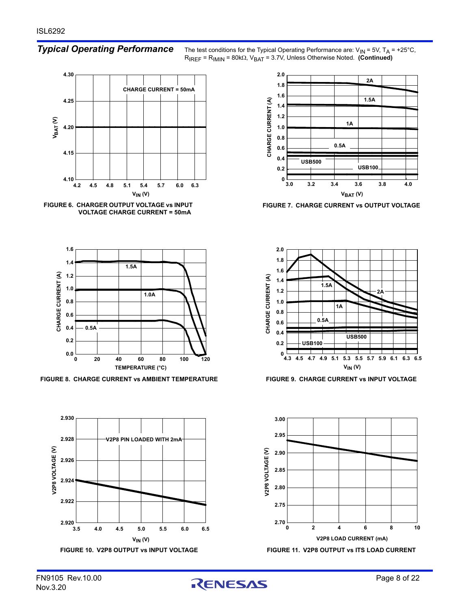*Typical Operating Performance* The test conditions for the Typical Operating Performance are: V<sub>IN</sub> = 5V, T<sub>A</sub> = +25°C,  $R_{IREF} = R_{IMIN} = 80k\Omega$ ,  $V_{BAT} = 3.7V$ , Unless Otherwise Noted. **(Continued)** 



**FIGURE 6. CHARGER OUTPUT VOLTAGE vs INPUT VOLTAGE CHARGE CURRENT = 50mA**



**FIGURE 8. CHARGE CURRENT vs AMBIENT TEMPERATURE FIGURE 9. CHARGE CURRENT vs INPUT VOLTAGE**





**FIGURE 7. CHARGE CURRENT vs OUTPUT VOLTAGE**





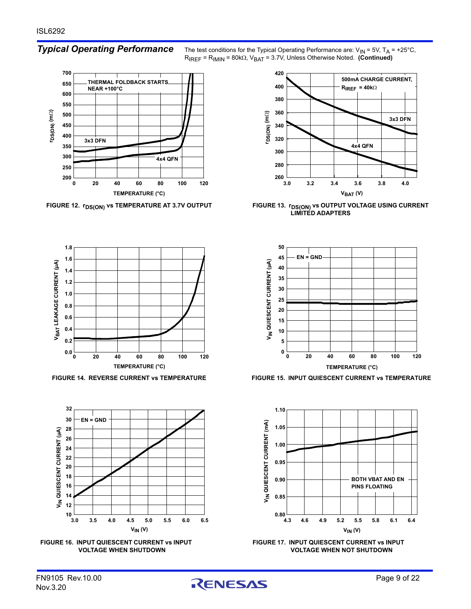**200 250 300 350 400 450 500 550 600 650 700 0 20 40 60 80 100 120 TEMPERATURE (°C) 3x3 DFN 4x4 QFN THERMAL FOLDBACK STARTS NEAR +100°C rDS(ON) (m )**







*Typical Operating Performance* The test conditions for the Typical Operating Performance are: V<sub>IN</sub> = 5V, T<sub>A</sub> = +25°C,  $R_{IREF}$  =  $R_{IMIN}$  =  $80k\Omega$ ,  $V_{BAT}$  = 3.7V, Unless Otherwise Noted. **(Continued)** 



FIGURE 12. **r<sub>DS(ON)</sub> vs TEMPERATURE AT 3.7V OUTPUT FIGURE 13. r<sub>DS(ON)</sub> vs OUTPUT VOLTAGE USING CURRENT LIMITED ADAPTERS**



**FIGURE 14. REVERSE CURRENT vs TEMPERATURE FIGURE 15. INPUT QUIESCENT CURRENT vs TEMPERATURE**



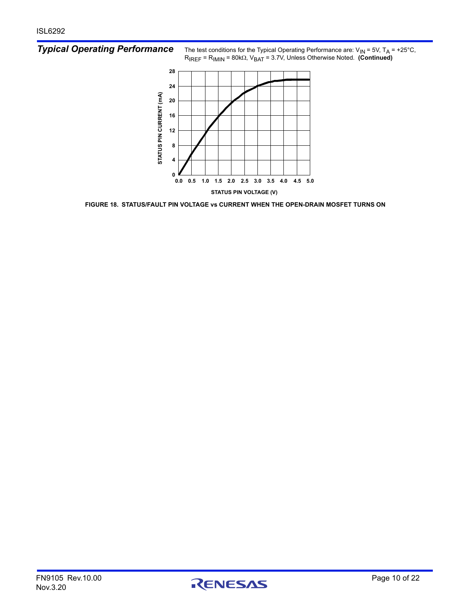*Typical Operating Performance* The test conditions for the Typical Operating Performance are: V<sub>IN</sub> = 5V, T<sub>A</sub> = +25°C,  $R_{IREF} = R_{IMIN} = 80k\Omega$ ,  $V_{BAT} = 3.7V$ , Unless Otherwise Noted. **(Continued)** 



**FIGURE 18. STATUS/FAULT PIN VOLTAGE vs CURRENT WHEN THE OPEN-DRAIN MOSFET TURNS ON**

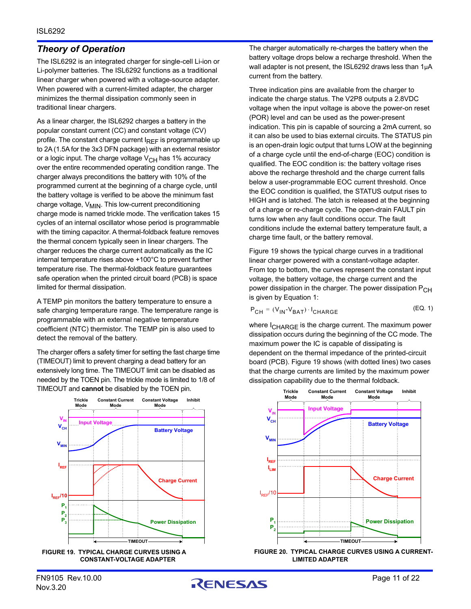## <span id="page-10-3"></span>*Theory of Operation*

The ISL6292 is an integrated charger for single-cell Li-ion or Li-polymer batteries. The ISL6292 functions as a traditional linear charger when powered with a voltage-source adapter. When powered with a current-limited adapter, the charger minimizes the thermal dissipation commonly seen in traditional linear chargers.

As a linear charger, the ISL6292 charges a battery in the popular constant current (CC) and constant voltage (CV) profile. The constant charge current  $I_{REF}$  is programmable up to 2A (1.5A for the 3x3 DFN package) with an external resistor or a logic input. The charge voltage  $V_{CH}$  has 1% accuracy over the entire recommended operating condition range. The charger always preconditions the battery with 10% of the programmed current at the beginning of a charge cycle, until the battery voltage is verified to be above the minimum fast charge voltage,  $V_{\text{MIN}}$ . This low-current preconditioning charge mode is named trickle mode. The verification takes 15 cycles of an internal oscillator whose period is programmable with the timing capacitor. A thermal-foldback feature removes the thermal concern typically seen in linear chargers. The charger reduces the charge current automatically as the IC internal temperature rises above +100°C to prevent further temperature rise. The thermal-foldback feature guarantees safe operation when the printed circuit board (PCB) is space limited for thermal dissipation.

A TEMP pin monitors the battery temperature to ensure a safe charging temperature range. The temperature range is programmable with an external negative temperature coefficient (NTC) thermistor. The TEMP pin is also used to detect the removal of the battery.

The charger offers a safety timer for setting the fast charge time (TIMEOUT) limit to prevent charging a dead battery for an extensively long time. The TIMEOUT limit can be disabled as needed by the TOEN pin. The trickle mode is limited to 1/8 of TIMEOUT and **cannot** be disabled by the TOEN pin.



<span id="page-10-0"></span>**FIGURE 19. TYPICAL CHARGE CURVES USING A CONSTANT-VOLTAGE ADAPTER**

The charger automatically re-charges the battery when the battery voltage drops below a recharge threshold. When the wall adapter is not present, the ISL6292 draws less than 1µA current from the battery.

Three indication pins are available from the charger to indicate the charge status. The V2P8 outputs a 2.8VDC voltage when the input voltage is above the power-on reset (POR) level and can be used as the power-present indication. This pin is capable of sourcing a 2mA current, so it can also be used to bias external circuits. The STATUS pin is an open-drain logic output that turns LOW at the beginning of a charge cycle until the end-of-charge (EOC) condition is qualified. The EOC condition is: the battery voltage rises above the recharge threshold and the charge current falls below a user-programmable EOC current threshold. Once the EOC condition is qualified, the STATUS output rises to HIGH and is latched. The latch is released at the beginning of a charge or re-charge cycle. The open-drain FAULT pin turns low when any fault conditions occur. The fault conditions include the external battery temperature fault, a charge time fault, or the battery removal.

Figure [19](#page-10-0) shows the typical charge curves in a traditional linear charger powered with a constant-voltage adapter. From top to bottom, the curves represent the constant input voltage, the battery voltage, the charge current and the power dissipation in the charger. The power dissipation P<sub>CH</sub> is given by Equation [1:](#page-10-1)

<span id="page-10-1"></span>
$$
P_{CH} = (V_{IN} - V_{BAT}) \cdot I_{CHARGE}
$$
 (EQ. 1)

where I<sub>CHARGE</sub> is the charge current. The maximum power dissipation occurs during the beginning of the CC mode. The maximum power the IC is capable of dissipating is dependent on the thermal impedance of the printed-circuit board (PCB). Figure [19](#page-10-0) shows (with dotted lines) two cases that the charge currents are limited by the maximum power dissipation capability due to the thermal foldback.



<span id="page-10-2"></span>**FIGURE 20. TYPICAL CHARGE CURVES USING A CURRENT-LIMITED ADAPTER**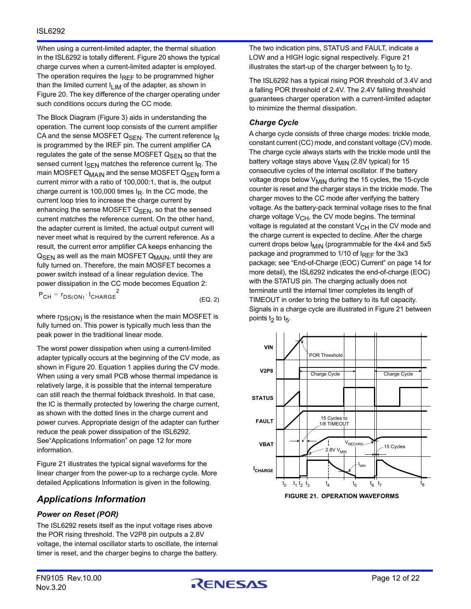When using a current-limited adapter, the thermal situation in the ISL6292 is totally different. Figure [20](#page-10-2) shows the typical charge curves when a current-limited adapter is employed. The operation requires the  $I_{REF}$  to be programmed higher than the limited current  $I_{LIM}$  of the adapter, as shown in Figure [20.](#page-10-2) The key difference of the charger operating under such conditions occurs during the CC mode.

The Block Diagram (Figure [3\)](#page-2-0) aids in understanding the operation. The current loop consists of the current amplifier CA and the sense MOSFET  $Q_{\text{SFN}}$ . The current reference  $I_R$ is programmed by the IREF pin. The current amplifier CA regulates the gate of the sense MOSFET Q<sub>SEN</sub> so that the sensed current I<sub>SEN</sub> matches the reference current I<sub>R</sub>. The main MOSFET Q<sub>MAIN</sub> and the sense MOSFET Q<sub>SEN</sub> form a current mirror with a ratio of 100,000:1, that is, the output charge current is 100,000 times  $I<sub>R</sub>$ . In the CC mode, the current loop tries to increase the charge current by enhancing the sense MOSFET  $Q<sub>SEN</sub>$ , so that the sensed current matches the reference current. On the other hand, the adapter current is limited, the actual output current will never meet what is required by the current reference. As a result, the current error amplifier CA keeps enhancing the  $Q<sub>SEN</sub>$  as well as the main MOSFET  $Q<sub>MAIN</sub>$ , until they are fully turned on. Therefore, the main MOSFET becomes a power switch instead of a linear regulation device. The power dissipation in the CC mode becomes Equation [2:](#page-11-1)

$$
P_{CH} = r_{DS(ON)} \cdot I_{CHARGE}^2
$$
 (EQ. 2)

where  $r_{DS(ON)}$  is the resistance when the main MOSFET is fully turned on. This power is typically much less than the peak power in the traditional linear mode.

The worst power dissipation when using a current-limited adapter typically occurs at the beginning of the CV mode, as shown in Figure [20](#page-10-2). Equation [1](#page-10-1) applies during the CV mode. When using a very small PCB whose thermal impedance is relatively large, it is possible that the internal temperature can still reach the thermal foldback threshold. In that case, the IC is thermally protected by lowering the charge current, as shown with the dotted lines in the charge current and power curves. Appropriate design of the adapter can further reduce the peak power dissipation of the ISL6292. See["Applications Information" on page 12](#page-11-2) for more information.

Figure [21](#page-11-0) illustrates the typical signal waveforms for the linear charger from the power-up to a recharge cycle. More detailed Applications Information is given in the following.

## <span id="page-11-2"></span>*Applications Information*

## *Power on Reset (POR)*

The ISL6292 resets itself as the input voltage rises above the POR rising threshold. The V2P8 pin outputs a 2.8V voltage, the internal oscillator starts to oscillate, the internal timer is reset, and the charger begins to charge the battery. The two indication pins, STATUS and FAULT, indicate a LOW and a HIGH logic signal respectively. Figure [21](#page-11-0)  illustrates the start-up of the charger between  $t_0$  to  $t_2$ .

The ISL6292 has a typical rising POR threshold of 3.4V and a falling POR threshold of 2.4V. The 2.4V falling threshold guarantees charger operation with a current-limited adapter to minimize the thermal dissipation.

## *Charge Cycle*

A charge cycle consists of three charge modes: trickle mode, constant current (CC) mode, and constant voltage (CV) mode. The charge cycle always starts with the trickle mode until the battery voltage stays above  $V_{\text{MIN}}$  (2.8V typical) for 15 consecutive cycles of the internal oscillator. If the battery voltage drops below  $V_{\text{MIN}}$  during the 15 cycles, the 15-cycle counter is reset and the charger stays in the trickle mode. The charger moves to the CC mode after verifying the battery voltage. As the battery-pack terminal voltage rises to the final charge voltage  $V_{\text{CH}}$ , the CV mode begins. The terminal voltage is regulated at the constant  $V_{CH}$  in the CV mode and the charge current is expected to decline. After the charge current drops below I<sub>MIN</sub> (programmable for the 4x4 and 5x5 package and programmed to  $1/10$  of  $I_{REF}$  for the 3x3 package; see ["End-of-Charge \(EOC\) Current" on page 14](#page-13-0) for more detail), the ISL6292 indicates the end-of-charge (EOC) with the STATUS pin. The charging actually does not terminate until the internal timer completes its length of TIMEOUT in order to bring the battery to its full capacity. Signals in a charge cycle are illustrated in Figure [21](#page-11-0) between points t<sub>2</sub> to t<sub>5</sub>.

<span id="page-11-1"></span><span id="page-11-0"></span>

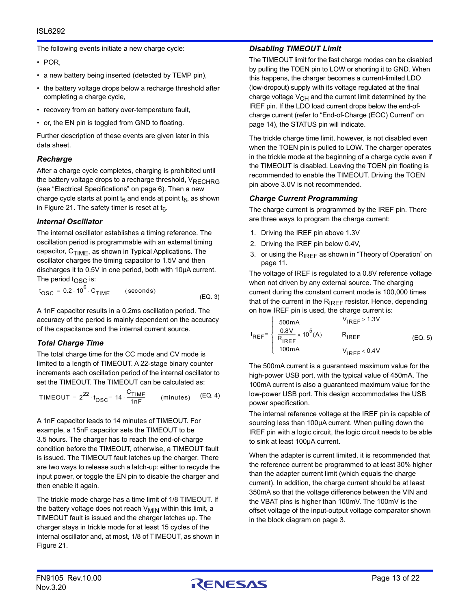The following events initiate a new charge cycle:

- POR,
- a new battery being inserted (detected by TEMP pin),
- the battery voltage drops below a recharge threshold after completing a charge cycle,
- recovery from an battery over-temperature fault,
- or, the EN pin is toggled from GND to floating.

Further description of these events are given later in this data sheet.

## *Recharge*

After a charge cycle completes, charging is prohibited until the battery voltage drops to a recharge threshold,  $V_{\text{RFCHRG}}$ (see "Electrical Specifications" on [page 6\)](#page-5-2). Then a new charge cycle starts at point  $t_6$  and ends at point  $t_8$ , as shown in Figure [21](#page-11-0). The safety timer is reset at  $t_6$ .

## *Internal Oscillator*

The internal oscillator establishes a timing reference. The oscillation period is programmable with an external timing capacitor,  $C_{\text{TIMF}}$ , as shown in Typical Applications. The oscillator charges the timing capacitor to 1.5V and then discharges it to 0.5V in one period, both with 10µA current. The period  $t_{\text{OSC}}$  is:

$$
t_{\text{OSC}} = 0.2 \cdot 10^6 \cdot C_{\text{TIME}} \qquad \text{(seconds)} \tag{Eq. 3}
$$

A 1nF capacitor results in a 0.2ms oscillation period. The accuracy of the period is mainly dependent on the accuracy of the capacitance and the internal current source.

## <span id="page-12-0"></span>*Total Charge Time*

The total charge time for the CC mode and CV mode is limited to a length of TIMEOUT. A 22-stage binary counter increments each oscillation period of the internal oscillator to set the TIMEOUT. The TIMEOUT can be calculated as:

$$
\text{TIMEOUT} = 2^{22} \cdot t_{\text{OSC}} = 14 \cdot \frac{C_{\text{TIME}}}{1 \cdot nF} \qquad (\text{minutes}) \qquad (\text{EQ. 4})
$$

A 1nF capacitor leads to 14 minutes of TIMEOUT. For example, a 15nF capacitor sets the TIMEOUT to be 3.5 hours. The charger has to reach the end-of-charge condition before the TIMEOUT, otherwise, a TIMEOUT fault is issued. The TIMEOUT fault latches up the charger. There are two ways to release such a latch-up: either to recycle the input power, or toggle the EN pin to disable the charger and then enable it again.

The trickle mode charge has a time limit of 1/8 TIMEOUT. If the battery voltage does not reach  $V_{\text{MIN}}$  within this limit, a TIMEOUT fault is issued and the charger latches up. The charger stays in trickle mode for at least 15 cycles of the internal oscillator and, at most, 1/8 of TIMEOUT, as shown in Figure [21.](#page-11-0)

## *Disabling TIMEOUT Limit*

The TIMEOUT limit for the fast charge modes can be disabled by pulling the TOEN pin to LOW or shorting it to GND. When this happens, the charger becomes a current-limited LDO (low-dropout) supply with its voltage regulated at the final charge voltage  $V_{CH}$  and the current limit determined by the IREF pin. If the LDO load current drops below the end-ofcharge current (refer to ["End-of-Charge \(EOC\) Current" on](#page-13-0)  [page 14\)](#page-13-0), the STATUS pin will indicate.

The trickle charge time limit, however, is not disabled even when the TOEN pin is pulled to LOW. The charger operates in the trickle mode at the beginning of a charge cycle even if the TIMEOUT is disabled. Leaving the TOEN pin floating is recommended to enable the TIMEOUT. Driving the TOEN pin above 3.0V is not recommended.

## *Charge Current Programming*

The charge current is programmed by the IREF pin. There are three ways to program the charge current:

- 1. Driving the IREF pin above 1.3V
- 2. Driving the IREF pin below 0.4V,
- 3. or using the  $R_{IRFF}$  as shown in "Theory of Operation" on [page 11](#page-10-3).

The voltage of IREF is regulated to a 0.8V reference voltage when not driven by any external source. The charging current during the constant current mode is 100,000 times that of the current in the  $R_{IREF}$  resistor. Hence, depending on how IREF pin is used, the charge current is:

$$
I_{REF} = \begin{cases} 500mA & V_{IREF} > 1.3V \\ \frac{0.8V}{R_{IREF}} \times 10^5 (A) & R_{IREF} \\ 100mA & V_{IREF} < 0.4V \end{cases}
$$
 (EQ. 5)

The 500mA current is a guaranteed maximum value for the high-power USB port, with the typical value of 450mA. The 100mA current is also a guaranteed maximum value for the low-power USB port. This design accommodates the USB power specification.

The internal reference voltage at the IREF pin is capable of sourcing less than 100µA current. When pulling down the IREF pin with a logic circuit, the logic circuit needs to be able to sink at least 100µA current.

When the adapter is current limited, it is recommended that the reference current be programmed to at least 30% higher than the adapter current limit (which equals the charge current). In addition, the charge current should be at least 350mA so that the voltage difference between the VIN and the VBAT pins is higher than 100mV. The 100mV is the offset voltage of the input-output voltage comparator shown in the block diagram on [page 3.](#page-2-0)

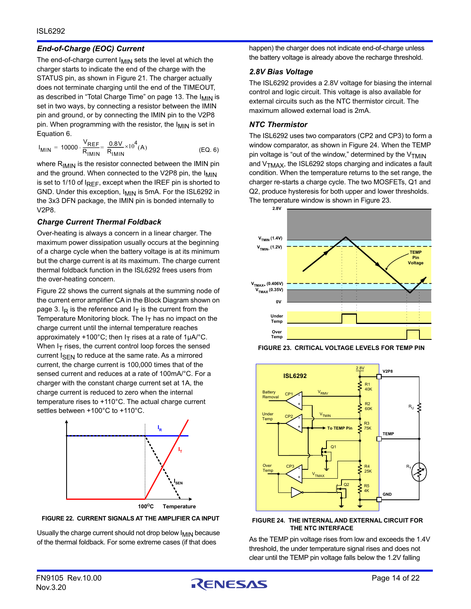## <span id="page-13-0"></span>*End-of-Charge (EOC) Current*

The end-of-charge current  $I_{MIN}$  sets the level at which the charger starts to indicate the end of the charge with the STATUS pin, as shown in Figure [21.](#page-11-0) The charger actually does not terminate charging until the end of the TIMEOUT, as described in ["Total Charge Time" on page 13.](#page-12-0) The I<sub>MIN</sub> is set in two ways, by connecting a resistor between the IMIN pin and ground, or by connecting the IMIN pin to the V2P8 pin. When programming with the resistor, the  $I_{MIN}$  is set in Equation [6](#page-13-4).

$$
I_{MIN} = 10000 \cdot \frac{V_{REF}}{R_{IMIN}} = \frac{0.8V}{R_{IMIN}} \times 10^{4}(A)
$$
 (EQ. 6)

where  $R_{IMIN}$  is the resistor connected between the IMIN pin and the ground. When connected to the V2P8 pin, the I<sub>MIN</sub> is set to 1/10 of  $I_{REF}$ , except when the IREF pin is shorted to GND. Under this exception,  $I_{\text{MIN}}$  is 5mA. For the ISL6292 in the 3x3 DFN package, the IMIN pin is bonded internally to V2P8.

## *Charge Current Thermal Foldback*

Over-heating is always a concern in a linear charger. The maximum power dissipation usually occurs at the beginning of a charge cycle when the battery voltage is at its minimum but the charge current is at its maximum. The charge current thermal foldback function in the ISL6292 frees users from the over-heating concern.

Figure [22](#page-13-1) shows the current signals at the summing node of the current error amplifier CA in the Block Diagram shown on [page 3](#page-2-0).  $I_R$  is the reference and  $I_T$  is the current from the Temperature Monitoring block. The  $I<sub>T</sub>$  has no impact on the charge current until the internal temperature reaches approximately +100°C; then  $I_T$  rises at a rate of 1µA/°C. When  $I_T$  rises, the current control loop forces the sensed current  $I_{\text{SEN}}$  to reduce at the same rate. As a mirrored current, the charge current is 100,000 times that of the sensed current and reduces at a rate of 100mA/°C. For a charger with the constant charge current set at 1A, the charge current is reduced to zero when the internal temperature rises to +110°C. The actual charge current settles between +100°C to +110°C.



<span id="page-13-1"></span>

Usually the charge current should not drop below  $I_{\text{MIN}}$  because of the thermal foldback. For some extreme cases (if that does

happen) the charger does not indicate end-of-charge unless the battery voltage is already above the recharge threshold.

## *2.8V Bias Voltage*

The ISL6292 provides a 2.8V voltage for biasing the internal control and logic circuit. This voltage is also available for external circuits such as the NTC thermistor circuit. The maximum allowed external load is 2mA.

## *NTC Thermistor*

<span id="page-13-4"></span>The ISL6292 uses two comparators (CP2 and CP3) to form a window comparator, as shown in Figure [24.](#page-13-3) When the TEMP pin voltage is "out of the window," determined by the  $V_{\text{TMIN}}$ and  $V_{TMAX}$ , the ISL6292 stops charging and indicates a fault condition. When the temperature returns to the set range, the charger re-starts a charge cycle. The two MOSFETs, Q1 and Q2, produce hysteresis for both upper and lower thresholds. The temperature window is shown in Figure [23](#page-13-2).



<span id="page-13-2"></span>**FIGURE 23. CRITICAL VOLTAGE LEVELS FOR TEMP PIN**



### <span id="page-13-3"></span>**FIGURE 24. THE INTERNAL AND EXTERNAL CIRCUIT FOR THE NTC INTERFACE**

As the TEMP pin voltage rises from low and exceeds the 1.4V threshold, the under temperature signal rises and does not clear until the TEMP pin voltage falls below the 1.2V falling

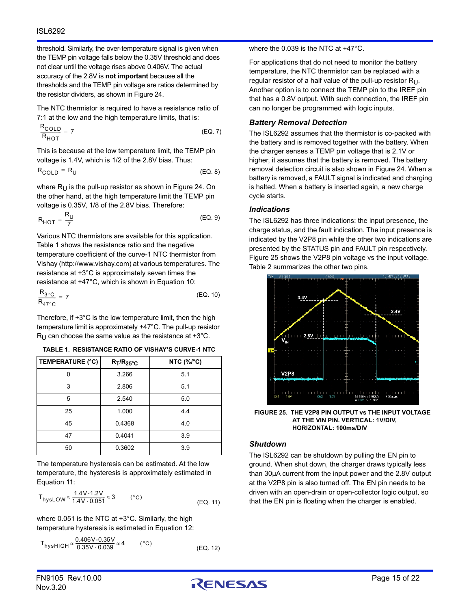threshold. Similarly, the over-temperature signal is given when the TEMP pin voltage falls below the 0.35V threshold and does not clear until the voltage rises above 0.406V. The actual accuracy of the 2.8V is **not important** because all the thresholds and the TEMP pin voltage are ratios determined by the resistor dividers, as shown in Figure [24.](#page-13-3)

The NTC thermistor is required to have a resistance ratio of 7:1 at the low and the high temperature limits, that is:

$$
\frac{R_{\text{COLD}}}{R_{\text{HOT}}} = 7 \tag{Eq. 7}
$$

This is because at the low temperature limit, the TEMP pin voltage is 1.4V, which is 1/2 of the 2.8V bias. Thus:

$$
R_{\text{COLD}} = R_{\text{U}} \tag{Eq. 8}
$$

where  $R_{U}$  is the pull-up resistor as shown in Figure [24](#page-13-3). On the other hand, at the high temperature limit the TEMP pin voltage is 0.35V, 1/8 of the 2.8V bias. Therefore:

$$
R_{\text{HOT}} = \frac{R_{\text{U}}}{7} \tag{Eq. 9}
$$

Various NTC thermistors are available for this application. Table 1 shows the resistance ratio and the negative temperature coefficient of the curve-1 NTC thermistor from Vishay (http://www.vishay.com) at various temperatures. The resistance at +3°C is approximately seven times the resistance at +47°C, which is shown in Equation [10](#page-14-2):

$$
\frac{R_{3°C}}{R_{47°C}} = 7
$$
 (EQ. 10)

Therefore, if +3°C is the low temperature limit, then the high temperature limit is approximately +47°C. The pull-up resistor  $R_{\text{U}}$  can choose the same value as the resistance at +3°C.

| TABLE 1. RESISTANCE RATIO OF VISHAY'S CURVE-1 NTC |  |
|---------------------------------------------------|--|
|                                                   |  |

| <b>TEMPERATURE (°C)</b> | $R_T/R_{25^{\circ}C}$ | NTC (%/°C) |
|-------------------------|-----------------------|------------|
| ŋ                       | 3.266                 | 5.1        |
| 3                       | 2.806                 | 5.1        |
| 5                       | 2.540                 | 5.0        |
| 25                      | 1.000                 | 4.4        |
| 45                      | 0.4368                | 4.0        |
| 47                      | 0.4041                | 3.9        |
| 50                      | 0.3602                | 3.9        |

The temperature hysteresis can be estimated. At the low temperature, the hysteresis is approximately estimated in Equation [11](#page-14-3):

$$
T_{\text{hysLOW}} \approx \frac{1.4 \text{V} \cdot 1.2 \text{V}}{1.4 \text{V} \cdot 0.051} \approx 3
$$
 (°C) (EQ. 11)

where 0.051 is the NTC at +3°C. Similarly, the high temperature hysteresis is estimated in Equation [12:](#page-14-1)

$$
T_{\text{hysHIGH}} \approx \frac{0.406 \text{V} \cdot 0.35 \text{V}}{0.35 \text{V} \cdot 0.039} \approx 4 \quad (\text{°C})
$$
\n(EQ. 12)

where the 0.039 is the NTC at +47°C.

For applications that do not need to monitor the battery temperature, the NTC thermistor can be replaced with a regular resistor of a half value of the pull-up resistor  $R_{U}$ . Another option is to connect the TEMP pin to the IREF pin that has a 0.8V output. With such connection, the IREF pin can no longer be programmed with logic inputs.

## *Battery Removal Detection*

The ISL6292 assumes that the thermistor is co-packed with the battery and is removed together with the battery. When the charger senses a TEMP pin voltage that is 2.1V or higher, it assumes that the battery is removed. The battery removal detection circuit is also shown in Figure [24](#page-13-3). When a battery is removed, a FAULT signal is indicated and charging is halted. When a battery is inserted again, a new charge cycle starts.

## *Indications*

The ISL6292 has three indications: the input presence, the charge status, and the fault indication. The input presence is indicated by the V2P8 pin while the other two indications are presented by the STATUS pin and FAULT pin respectively. Figure [25](#page-14-0) shows the V2P8 pin voltage vs the input voltage. Table 2 summarizes the other two pins.

<span id="page-14-2"></span>

<span id="page-14-0"></span>**FIGURE 25. THE V2P8 PIN OUTPUT vs THE INPUT VOLTAGE AT THE VIN PIN. VERTICAL: 1V/DIV, HORIZONTAL: 100ms/DIV**

## *Shutdown*

<span id="page-14-3"></span><span id="page-14-1"></span>The ISL6292 can be shutdown by pulling the EN pin to ground. When shut down, the charger draws typically less than 30µA current from the input power and the 2.8V output at the V2P8 pin is also turned off. The EN pin needs to be driven with an open-drain or open-collector logic output, so that the EN pin is floating when the charger is enabled.

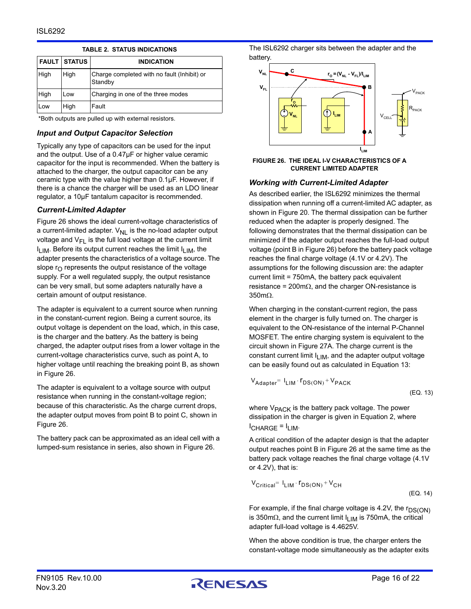|      | <b>FAULT STATUS</b> | <b>INDICATION</b>                                      |
|------|---------------------|--------------------------------------------------------|
| High | High                | Charge completed with no fault (Inhibit) or<br>Standby |
| High | Low                 | Charging in one of the three modes                     |
| Low  | High                | Fault                                                  |

### **TABLE 2. STATUS INDICATIONS**

\*Both outputs are pulled up with external resistors.

## *Input and Output Capacitor Selection*

Typically any type of capacitors can be used for the input and the output. Use of a 0.47µF or higher value ceramic capacitor for the input is recommended. When the battery is attached to the charger, the output capacitor can be any ceramic type with the value higher than 0.1µF. However, if there is a chance the charger will be used as an LDO linear regulator, a 10µF tantalum capacitor is recommended.

## *Current-Limited Adapter*

Figure [26](#page-15-0) shows the ideal current-voltage characteristics of a current-limited adapter.  $V_{NL}$  is the no-load adapter output voltage and  $V_{FL}$  is the full load voltage at the current limit  $I_{LIM}$ . Before its output current reaches the limit  $I_{LIM}$ , the adapter presents the characteristics of a voltage source. The slope  $r_{\Omega}$  represents the output resistance of the voltage supply. For a well regulated supply, the output resistance can be very small, but some adapters naturally have a certain amount of output resistance.

The adapter is equivalent to a current source when running in the constant-current region. Being a current source, its output voltage is dependent on the load, which, in this case, is the charger and the battery. As the battery is being charged, the adapter output rises from a lower voltage in the current-voltage characteristics curve, such as point A, to higher voltage until reaching the breaking point B, as shown in Figure [26](#page-15-0).

The adapter is equivalent to a voltage source with output resistance when running in the constant-voltage region; because of this characteristic. As the charge current drops, the adapter output moves from point B to point C, shown in Figure [26.](#page-15-0)

The battery pack can be approximated as an ideal cell with a lumped-sum resistance in series, also shown in Figure [26.](#page-15-0)

The ISL6292 charger sits between the adapter and the battery.



#### <span id="page-15-0"></span>**FIGURE 26. THE IDEAL I-V CHARACTERISTICS OF A CURRENT LIMITED ADAPTER**

## *Working with Current-Limited Adapter*

As described earlier, the ISL6292 minimizes the thermal dissipation when running off a current-limited AC adapter, as shown in Figure [20.](#page-10-2) The thermal dissipation can be further reduced when the adapter is properly designed. The following demonstrates that the thermal dissipation can be minimized if the adapter output reaches the full-load output voltage (point B in Figure [26\)](#page-15-0) before the battery pack voltage reaches the final charge voltage (4.1V or 4.2V). The assumptions for the following discussion are: the adapter current limit = 750mA, the battery pack equivalent resistance = 200m $\Omega$ , and the charger ON-resistance is  $350 \text{m}\Omega$ .

When charging in the constant-current region, the pass element in the charger is fully turned on. The charger is equivalent to the ON-resistance of the internal P-Channel MOSFET. The entire charging system is equivalent to the circuit shown in Figure [27A.](#page-16-0) The charge current is the constant current limit  $I_{LIM}$ , and the adapter output voltage can be easily found out as calculated in Equation [13](#page-15-1):

 $V_{\text{Adapter}} = I_{\text{LIM}} \cdot r_{\text{DS}(\text{ON})} + V_{\text{PACK}}$ 

<span id="page-15-2"></span><span id="page-15-1"></span>(EQ. 13)

where  $V_{\text{PACK}}$  is the battery pack voltage. The power dissipation in the charger is given in Equation [2,](#page-11-1) where  $I$ CHARGE  $=$   $I$ <sub>LIM</sub>.

A critical condition of the adapter design is that the adapter output reaches point B in Figure [26](#page-15-0) at the same time as the battery pack voltage reaches the final charge voltage (4.1V or 4.2V), that is:

$$
V_{\text{Critical}} = I_{\text{LIM}} \cdot r_{\text{DS}(\text{ON})} + V_{\text{CH}}
$$
\n(EQ. 14)

For example, if the final charge voltage is 4.2V, the  $r_{DS(ON)}$ is 350m $\Omega$ , and the current limit  $I_{LIM}$  is 750mA, the critical adapter full-load voltage is 4.4625V.

When the above condition is true, the charger enters the constant-voltage mode simultaneously as the adapter exits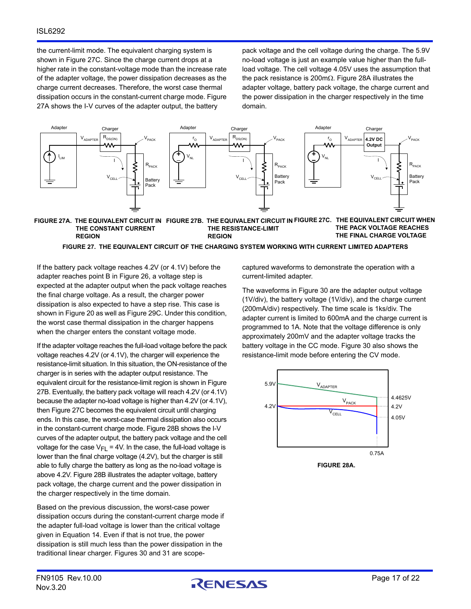the current-limit mode. The equivalent charging system is shown in Figure [27C](#page-16-2). Since the charge current drops at a higher rate in the constant-voltage mode than the increase rate of the adapter voltage, the power dissipation decreases as the charge current decreases. Therefore, the worst case thermal dissipation occurs in the constant-current charge mode. Figure [27A](#page-16-0) shows the I-V curves of the adapter output, the battery

pack voltage and the cell voltage during the charge. The 5.9V no-load voltage is just an example value higher than the fullload voltage. The cell voltage 4.05V uses the assumption that the pack resistance is 200m $\Omega$ . Figure [28A](#page-16-3) illustrates the adapter voltage, battery pack voltage, the charge current and the power dissipation in the charger respectively in the time domain.



#### <span id="page-16-0"></span>**FIGURE 27A. THE EQUIVALENT CIRCUIT IN FIGURE 27B. THE EQUIVALENT CIRCUIT IN FIGURE 27C. THE EQUIVALENT CIRCUIT WHEN THE CONSTANT CURRENT REGION THE RESISTANCE-LIMIT REGION THE PACK VOLTAGE REACHES THE FINAL CHARGE VOLTAGE**

#### **FIGURE 27. THE EQUIVALENT CIRCUIT OF THE CHARGING SYSTEM WORKING WITH CURRENT LIMITED ADAPTERS**

If the battery pack voltage reaches 4.2V (or 4.1V) before the adapter reaches point B in Figure [26](#page-15-0), a voltage step is expected at the adapter output when the pack voltage reaches the final charge voltage. As a result, the charger power dissipation is also expected to have a step rise. This case is shown in Figure [20](#page-10-2) as well as Figure [29C](#page-17-2). Under this condition, the worst case thermal dissipation in the charger happens when the charger enters the constant voltage mode.

If the adapter voltage reaches the full-load voltage before the pack voltage reaches 4.2V (or 4.1V), the charger will experience the resistance-limit situation. In this situation, the ON-resistance of the charger is in series with the adapter output resistance. The equivalent circuit for the resistance-limit region is shown in Figure [27B](#page-16-1). Eventually, the battery pack voltage will reach 4.2V (or 4.1V) because the adapter no-load voltage is higher than 4.2V (or 4.1V), then Figure [27C](#page-16-2) becomes the equivalent circuit until charging ends. In this case, the worst-case thermal dissipation also occurs in the constant-current charge mode. Figure [28B](#page-17-1) shows the I-V curves of the adapter output, the battery pack voltage and the cell voltage for the case  $V_{FL}$  = 4V. In the case, the full-load voltage is lower than the final charge voltage (4.2V), but the charger is still able to fully charge the battery as long as the no-load voltage is above 4.2V. Figure [28B](#page-17-1) illustrates the adapter voltage, battery pack voltage, the charge current and the power dissipation in the charger respectively in the time domain.

Based on the previous discussion, the worst-case power dissipation occurs during the constant-current charge mode if the adapter full-load voltage is lower than the critical voltage given in Equation [14](#page-15-2). Even if that is not true, the power dissipation is still much less than the power dissipation in the traditional linear charger. Figures [30](#page-17-0) and [31](#page-18-0) are scope<span id="page-16-2"></span><span id="page-16-1"></span>captured waveforms to demonstrate the operation with a current-limited adapter.

The waveforms in Figure [30](#page-17-0) are the adapter output voltage (1V/div), the battery voltage (1V/div), and the charge current (200mA/div) respectively. The time scale is 1ks/div. The adapter current is limited to 600mA and the charge current is programmed to 1A. Note that the voltage difference is only approximately 200mV and the adapter voltage tracks the battery voltage in the CC mode. Figure [30](#page-17-0) also shows the resistance-limit mode before entering the CV mode.



<span id="page-16-3"></span>**FIGURE 28A.**

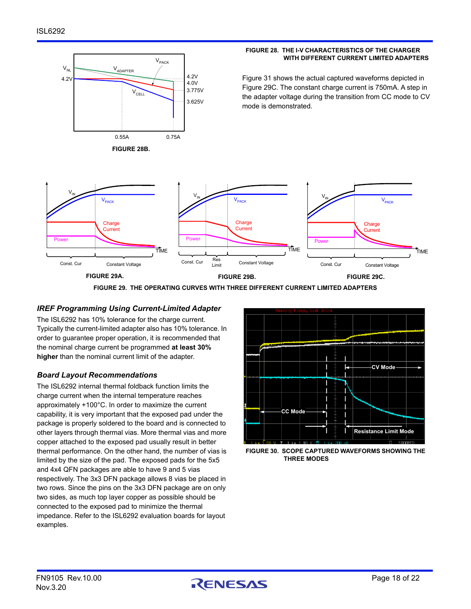

### **FIGURE 28. THE I-V CHARACTERISTICS OF THE CHARGER WITH DIFFERENT CURRENT LIMITED ADAPTERS**

Figure [31](#page-18-0) shows the actual captured waveforms depicted in Figure [29C](#page-17-2). The constant charge current is 750mA. A step in the adapter voltage during the transition from CC mode to CV mode is demonstrated.

<span id="page-17-1"></span>

**FIGURE 29. THE OPERATING CURVES WITH THREE DIFFERENT CURRENT LIMITED ADAPTERS**

## *IREF Programming Using Current-Limited Adapter*

The ISL6292 has 10% tolerance for the charge current. Typically the current-limited adapter also has 10% tolerance. In order to guarantee proper operation, it is recommended that the nominal charge current be programmed **at least 30% higher** than the nominal current limit of the adapter.

## *Board Layout Recommendations*

The ISL6292 internal thermal foldback function limits the charge current when the internal temperature reaches approximately +100°C. In order to maximize the current capability, it is very important that the exposed pad under the package is properly soldered to the board and is connected to other layers through thermal vias. More thermal vias and more copper attached to the exposed pad usually result in better thermal performance. On the other hand, the number of vias is limited by the size of the pad. The exposed pads for the 5x5 and 4x4 QFN packages are able to have 9 and 5 vias respectively. The 3x3 DFN package allows 8 vias be placed in two rows. Since the pins on the 3x3 DFN package are on only two sides, as much top layer copper as possible should be connected to the exposed pad to minimize the thermal impedance. Refer to the ISL6292 evaluation boards for layout examples.

<span id="page-17-2"></span>

<span id="page-17-0"></span>**FIGURE 30. SCOPE CAPTURED WAVEFORMS SHOWING THE THREE MODES**

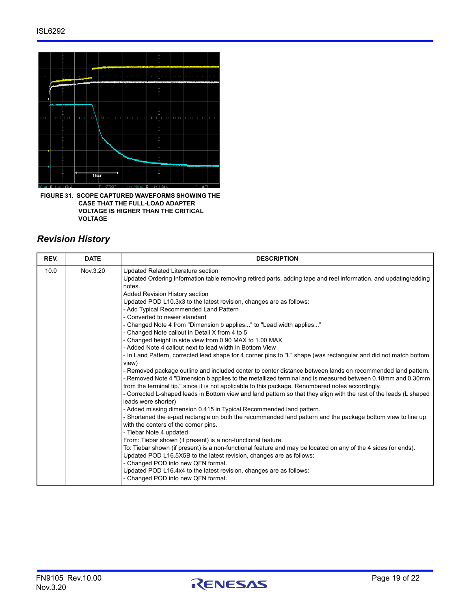

<span id="page-18-0"></span>**FIGURE 31. SCOPE CAPTURED WAVEFORMS SHOWING THE CASE THAT THE FULL-LOAD ADAPTER VOLTAGE IS HIGHER THAN THE CRITICAL VOLTAGE**

## *Revision History*

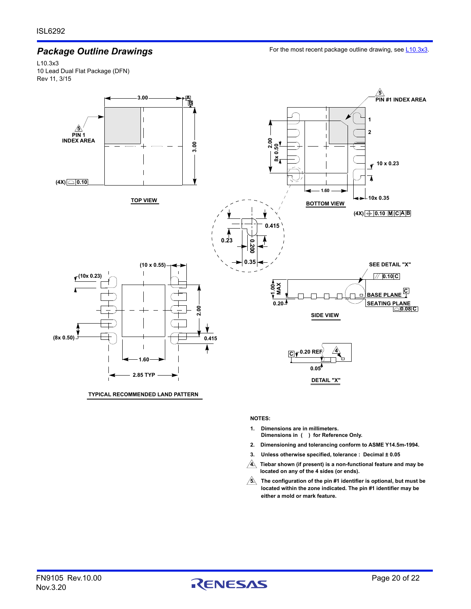## *Package Outline Drawings*

For the most recent package outline drawing, see [L10.3x3](https://www.renesas.com/package-image/pdf/outdrawing/l10.3x3.pdf).

L10.3x3 10 Lead Dual Flat Package (DFN) Rev 11, 3/15



**TYPICAL RECOMMENDED LAND PATTERN**

#### **NOTES:**

- **Dimensions in ( ) for Reference Only. 1. Dimensions are in millimeters.**
- **Dimensioning and tolerancing conform to ASME Y14.5m-1994. 2.**
- **Unless otherwise specified, tolerance : Decimal ± 0.05 3.**
- **4. Tiebar shown (if present) is a non-functional feature and may be located on any of the 4 sides (or ends).**
- **located within the zone indicated. The pin #1 identifier may be The configuration of the pin #1 identifier is optional, but must be 5. either a mold or mark feature.**

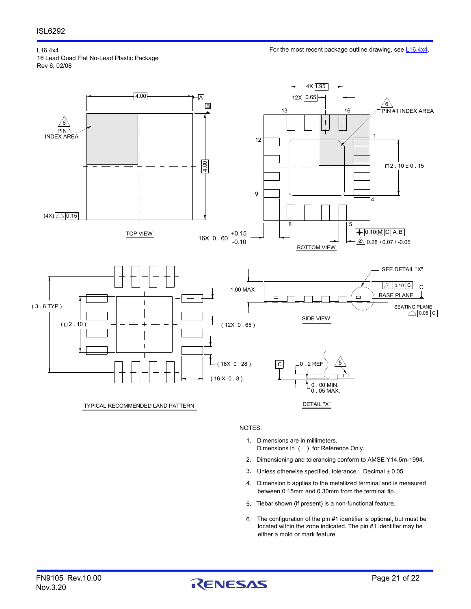L16.4x4 16 Lead Quad Flat No-Lead Plastic Package

For the most recent package outline drawing, see [L16.4x4](https://www.renesas.com/package-image/pdf/outdrawing/l16.4x4.pdf).

Rev 6, 02/08



NOTES:

- Dimensions in ( ) for Reference Only. 1. Dimensions are in millimeters.
- 2. Dimensioning and tolerancing conform to AMSE Y14.5m-1994.
- Unless otherwise specified, tolerance : Decimal ± 0.05 3.
- between 0.15mm and 0.30mm from the terminal tip. 4. Dimension b applies to the metallized terminal and is measured
- Tiebar shown (if present) is a non-functional feature. 5.
- located within the zone indicated. The pin #1 identifier may be The configuration of the pin #1 identifier is optional, but must be 6. either a mold or mark feature.